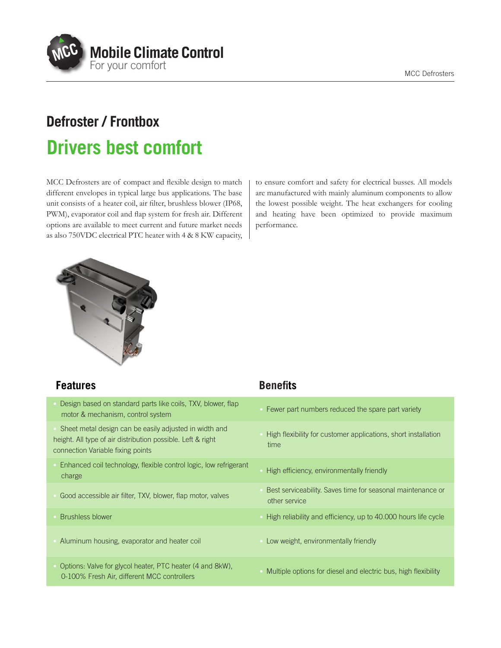

# **Defroster / Frontbox Drivers best comfort**

MCC Defrosters are of compact and flexible design to match different envelopes in typical large bus applications. The base unit consists of a heater coil, air filter, brushless blower (IP68, PWM), evaporator coil and flap system for fresh air. Different options are available to meet current and future market needs as also 750VDC electrical PTC heater with 4 & 8 KW capacity, to ensure comfort and safety for electrical busses. All models are manufactured with mainly aluminum components to allow the lowest possible weight. The heat exchangers for cooling and heating have been optimized to provide maximum performance.



| <b>Features</b>                                                                                                                                            | <b>Benefits</b>                                                              |
|------------------------------------------------------------------------------------------------------------------------------------------------------------|------------------------------------------------------------------------------|
| Design based on standard parts like coils, TXV, blower, flap<br>motor & mechanism, control system                                                          | Fewer part numbers reduced the spare part variety                            |
| Sheet metal design can be easily adjusted in width and<br>height. All type of air distribution possible. Left & right<br>connection Variable fixing points | High flexibility for customer applications, short installation<br>time       |
| Enhanced coil technology, flexible control logic, low refrigerant<br>charge                                                                                | High efficiency, environmentally friendly                                    |
| Good accessible air filter, TXV, blower, flap motor, valves                                                                                                | Best serviceability. Saves time for seasonal maintenance or<br>other service |
| <b>Brushless blower</b>                                                                                                                                    | High reliability and efficiency, up to 40.000 hours life cycle               |
| Aluminum housing, evaporator and heater coil                                                                                                               | Low weight, environmentally friendly                                         |
| Options: Valve for glycol heater, PTC heater (4 and 8kW),<br>0-100% Fresh Air, different MCC controllers                                                   | Multiple options for diesel and electric bus, high flexibility               |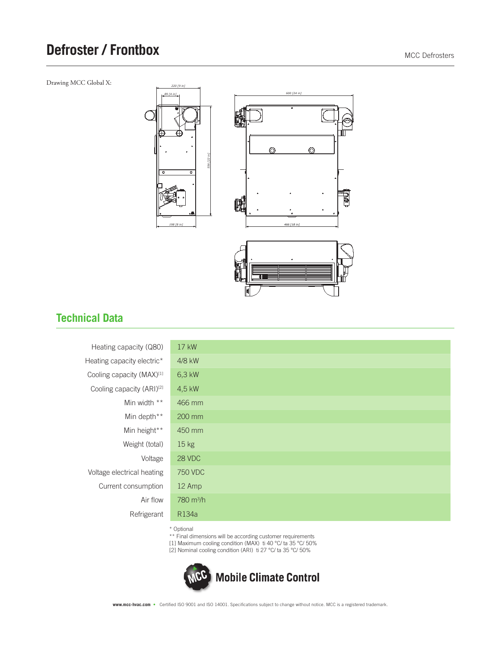### **Defroster / Frontbox** MCC Defrosters

Drawing MCC Global X:







#### **Technical Data**

| Heating capacity (Q80)                | 17 kW               |
|---------------------------------------|---------------------|
| Heating capacity electric*            | 4/8 kW              |
| Cooling capacity (MAX)[1]             | 6,3 kW              |
| Cooling capacity (ARI) <sup>[2]</sup> | 4,5 kW              |
| Min width **                          | 466 mm              |
| Min depth**                           | 200 mm              |
| Min height**                          | 450 mm              |
| Weight (total)                        | 15 <sub>kg</sub>    |
| Voltage                               | <b>28 VDC</b>       |
| Voltage electrical heating            | 750 VDC             |
| Current consumption                   | 12 Amp              |
| Air flow                              | $780 \text{ m}^3/h$ |
| Refrigerant                           | R134a               |
|                                       | $\cdots$            |

\* Optional

\*\* Final dimensions will be according customer requirements

[1] Maximum cooling condition (MAX) ti 40 °C/ ta 35 °C/ 50%

[2] Nominal cooling condition (ARI) ti 27 °C/ ta 35 °C/ 50%



**www.mcc-hvac.com** • Certified ISO 9001 and ISO 14001. Specifications subject to change without notice. MCC is a registered trademark.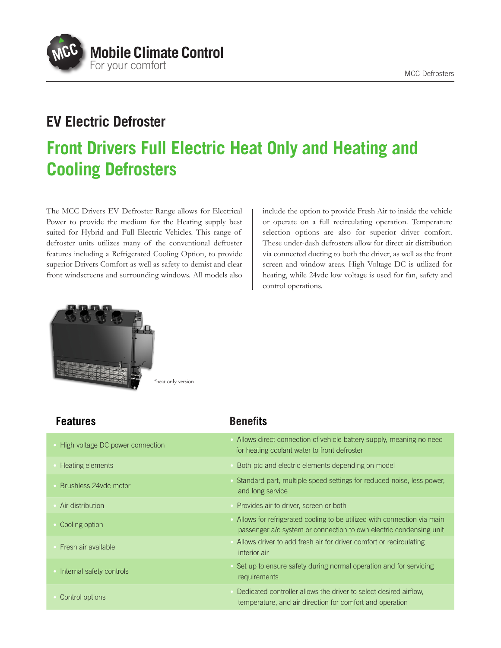

### **EV Electric Defroster**

## **Front Drivers Full Electric Heat Only and Heating and Cooling Defrosters**

The MCC Drivers EV Defroster Range allows for Electrical Power to provide the medium for the Heating supply best suited for Hybrid and Full Electric Vehicles. This range of defroster units utilizes many of the conventional defroster features including a Refrigerated Cooling Option, to provide superior Drivers Comfort as well as safety to demist and clear front windscreens and surrounding windows. All models also include the option to provide Fresh Air to inside the vehicle or operate on a full recirculating operation. Temperature selection options are also for superior driver comfort. These under-dash defrosters allow for direct air distribution via connected ducting to both the driver, as well as the front screen and window areas. High Voltage DC is utilized for heating, while 24vdc low voltage is used for fan, safety and control operations.



| <b>Features</b>                  | <b>Benefits</b>                                                                                                                               |
|----------------------------------|-----------------------------------------------------------------------------------------------------------------------------------------------|
| High voltage DC power connection | Allows direct connection of vehicle battery supply, meaning no need<br>for heating coolant water to front defroster                           |
| Heating elements                 | Both ptc and electric elements depending on model                                                                                             |
| Brushless 24vdc motor            | Standard part, multiple speed settings for reduced noise, less power,<br>and long service                                                     |
| Air distribution                 | Provides air to driver, screen or both                                                                                                        |
| Cooling option                   | Allows for refrigerated cooling to be utilized with connection via main<br>passenger a/c system or connection to own electric condensing unit |
| Fresh air available              | Allows driver to add fresh air for driver comfort or recirculating<br>interior air                                                            |
| Internal safety controls         | Set up to ensure safety during normal operation and for servicing<br>requirements                                                             |
| Control options                  | Dedicated controller allows the driver to select desired airflow,<br>temperature, and air direction for comfort and operation                 |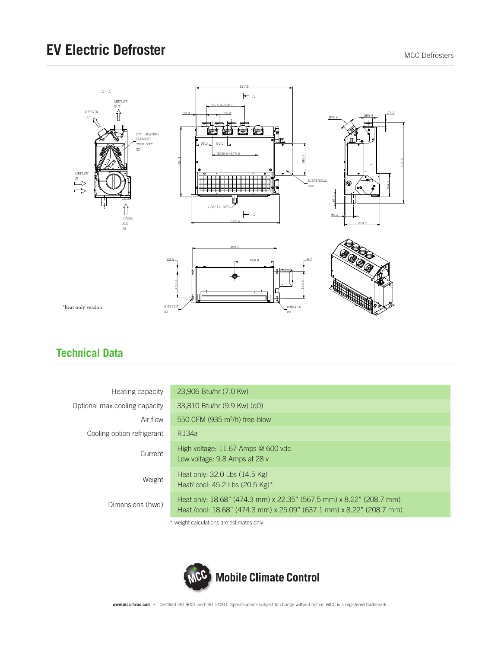

### **Technical Data**

| Heating capacity              | 23,906 Btu/hr (7.0 Kw)                                                                                                                      |
|-------------------------------|---------------------------------------------------------------------------------------------------------------------------------------------|
| Optional max cooling capacity | 33,810 Btu/hr (9.9 Kw) (q0)                                                                                                                 |
| Air flow                      | 550 CFM (935 m <sup>3</sup> /h) free-blow                                                                                                   |
| Cooling option refrigerant    | R134a                                                                                                                                       |
| Current                       | High voltage: 11.67 Amps @ 600 vdc<br>Low voltage: 9.8 Amps at 28 y                                                                         |
| Weight                        | Heat only: 32.0 Lbs (14.5 Kg)<br>Heat/ cool: 45.2 Lbs (20.5 Kg)*                                                                            |
| Dimensions (hwd)              | Heat only: 18.68" (474.3 mm) x 22.35" (567.5 mm) x 8.22" (208.7 mm)<br>Heat /cool: 18.68" (474.3 mm) x 25.09" (637.1 mm) x 8.22" (208.7 mm) |
|                               |                                                                                                                                             |

weight calculations are estimates only



**www.mcc-hvac.com** • Certified ISO 9001 and ISO 14001. Specifications subject to change without notice. MCC is a registered trademark.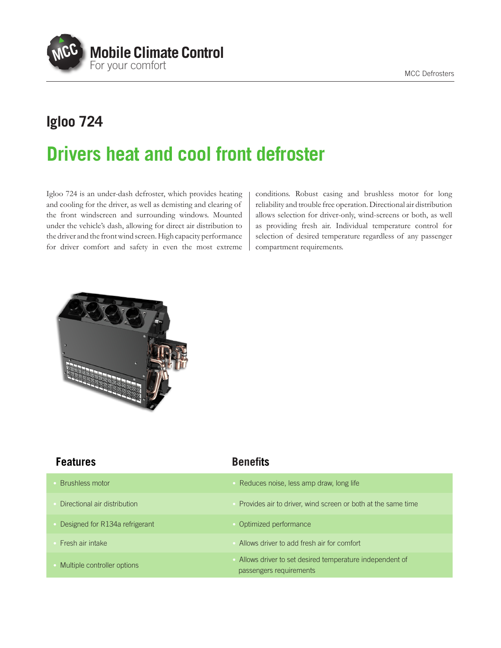MCC Defrosters



# **Igloo 724 Drivers heat and cool front defroster**

Igloo 724 is an under-dash defroster, which provides heating and cooling for the driver, as well as demisting and clearing of the front windscreen and surrounding windows. Mounted under the vehicle's dash, allowing for direct air distribution to the driver and the front wind screen. High capacity performance for driver comfort and safety in even the most extreme

conditions. Robust casing and brushless motor for long reliability and trouble free operation. Directional air distribution allows selection for driver-only, wind-screens or both, as well as providing fresh air. Individual temperature control for selection of desired temperature regardless of any passenger compartment requirements.



| <b>Features</b>                | <b>Benefits</b>                                                                    |
|--------------------------------|------------------------------------------------------------------------------------|
| Brushless motor                | Reduces noise, less amp draw, long life                                            |
| Directional air distribution   | Provides air to driver, wind screen or both at the same time                       |
| Designed for R134a refrigerant | Optimized performance                                                              |
| Fresh air intake               | Allows driver to add fresh air for comfort                                         |
| Multiple controller options    | Allows driver to set desired temperature independent of<br>passengers requirements |